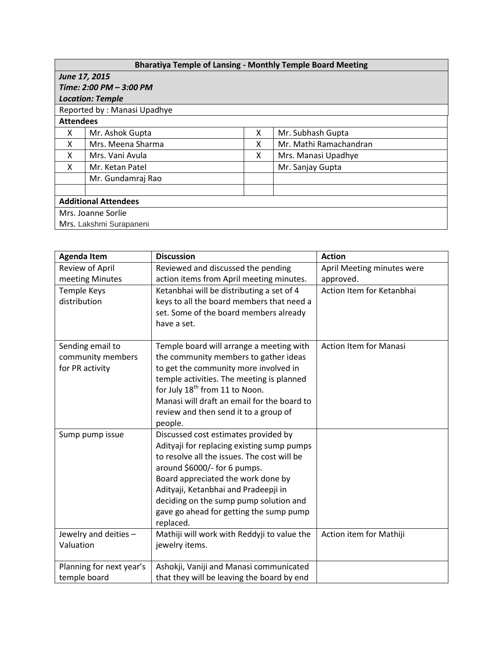| <b>Bharatiya Temple of Lansing - Monthly Temple Board Meeting</b> |                   |   |                        |  |  |  |
|-------------------------------------------------------------------|-------------------|---|------------------------|--|--|--|
| June 17, 2015                                                     |                   |   |                        |  |  |  |
| Time: 2:00 PM - 3:00 PM                                           |                   |   |                        |  |  |  |
| <b>Location: Temple</b>                                           |                   |   |                        |  |  |  |
| Reported by: Manasi Upadhye                                       |                   |   |                        |  |  |  |
| <b>Attendees</b>                                                  |                   |   |                        |  |  |  |
| x                                                                 | Mr. Ashok Gupta   | x | Mr. Subhash Gupta      |  |  |  |
| X                                                                 | Mrs. Meena Sharma | х | Mr. Mathi Ramachandran |  |  |  |
| X                                                                 | Mrs. Vani Avula   | x | Mrs. Manasi Upadhye    |  |  |  |
| X                                                                 | Mr. Ketan Patel   |   | Mr. Sanjay Gupta       |  |  |  |
|                                                                   | Mr. Gundamraj Rao |   |                        |  |  |  |
|                                                                   |                   |   |                        |  |  |  |
| <b>Additional Attendees</b>                                       |                   |   |                        |  |  |  |
| Mrs. Joanne Sorlie                                                |                   |   |                        |  |  |  |
| Mrs. Lakshmi Surapaneni                                           |                   |   |                        |  |  |  |

| <b>Agenda Item</b>       | <b>Discussion</b>                                                                         | <b>Action</b>                 |
|--------------------------|-------------------------------------------------------------------------------------------|-------------------------------|
| Review of April          | Reviewed and discussed the pending                                                        | April Meeting minutes were    |
| meeting Minutes          | action items from April meeting minutes.                                                  | approved.                     |
| <b>Temple Keys</b>       | Ketanbhai will be distributing a set of 4                                                 | Action Item for Ketanbhai     |
| distribution             | keys to all the board members that need a                                                 |                               |
|                          | set. Some of the board members already                                                    |                               |
|                          | have a set.                                                                               |                               |
| Sending email to         | Temple board will arrange a meeting with                                                  | <b>Action Item for Manasi</b> |
| community members        | the community members to gather ideas                                                     |                               |
| for PR activity          | to get the community more involved in                                                     |                               |
|                          | temple activities. The meeting is planned                                                 |                               |
|                          | for July 18 <sup>th</sup> from 11 to Noon.                                                |                               |
|                          | Manasi will draft an email for the board to                                               |                               |
|                          | review and then send it to a group of                                                     |                               |
|                          | people.                                                                                   |                               |
| Sump pump issue          | Discussed cost estimates provided by                                                      |                               |
|                          | Adityaji for replacing existing sump pumps<br>to resolve all the issues. The cost will be |                               |
|                          | around \$6000/- for 6 pumps.                                                              |                               |
|                          | Board appreciated the work done by                                                        |                               |
|                          | Adityaji, Ketanbhai and Pradeepji in                                                      |                               |
|                          | deciding on the sump pump solution and                                                    |                               |
|                          | gave go ahead for getting the sump pump                                                   |                               |
|                          | replaced.                                                                                 |                               |
| Jewelry and deities -    | Mathiji will work with Reddyji to value the                                               | Action item for Mathiji       |
| Valuation                | jewelry items.                                                                            |                               |
|                          |                                                                                           |                               |
| Planning for next year's | Ashokji, Vaniji and Manasi communicated                                                   |                               |
| temple board             | that they will be leaving the board by end                                                |                               |